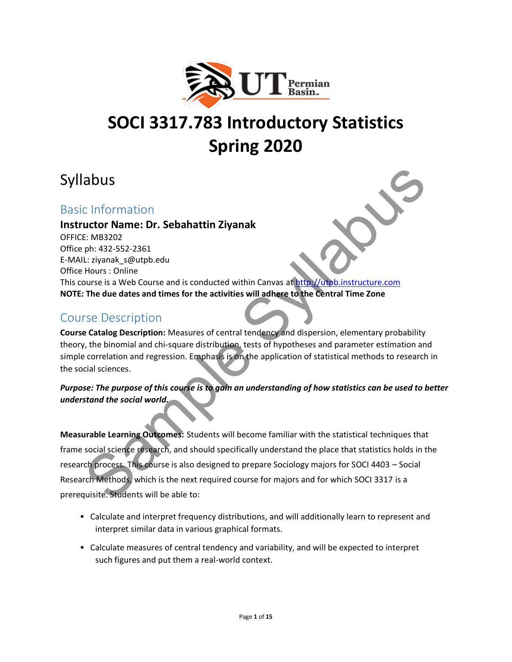

# **SOCI 3317.783 Introductory Statistics Spring 2020**

## Syllabus

#### Basic Information

#### **Instructor Name: Dr. Sebahattin Ziyanak**

OFFICE: MB3202 Office ph: 432-552-2361 E-MAIL: ziyanak\_s@utpb.edu Office Hours : Online This course is a Web Course and is conducted within Canvas at http://utpb.instructure.com **NOTE: The due dates and times for the activities will adhere to the Central Time Zone**

### Course Description

**Course Catalog Description:** Measures of central tendency and dispersion, elementary probability theory, the binomial and chi-square distribution, tests of hypotheses and parameter estimation and simple correlation and regression. Emphasis is on the application of statistical methods to research in the social sciences.

#### *Purpose: The purpose of this course is to gain an understanding of how statistics can be used to better understand the social world.*

**Measurable Learning Outcomes:** Students will become familiar with the statistical techniques that frame social science research, and should specifically understand the place that statistics holds in the research process. This course is also designed to prepare Sociology majors for SOCI 4403 – Social Research Methods, which is the next required course for majors and for which SOCI 3317 is a prerequisite. Students will be able to: **abuse 11**<br>
Let Marie Self and English Chinal Chinal Chinal Chinal Chinal Chinal Chinal Chinal Chinal Chinal Chinal Chinal<br>
Let Maria Chinal Self and the Sylutphe dual conducted within Canvas at https://uppb.instructure.co

- Calculate and interpret frequency distributions, and will additionally learn to represent and interpret similar data in various graphical formats.
- Calculate measures of central tendency and variability, and will be expected to interpret such figures and put them a real-world context.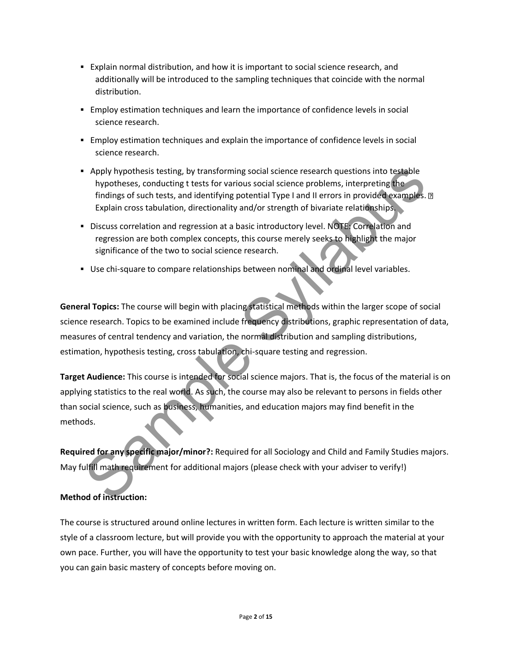- Explain normal distribution, and how it is important to social science research, and additionally will be introduced to the sampling techniques that coincide with the normal distribution.
- **Employ estimation techniques and learn the importance of confidence levels in social** science research.
- **Employ estimation techniques and explain the importance of confidence levels in social** science research.
- Apply hypothesis testing, by transforming social science research questions into testable hypotheses, conducting t tests for various social science problems, interpreting the findings of such tests, and identifying potential Type I and II errors in provided examples. **D** Explain cross tabulation, directionality and/or strength of bivariate relationships.
- **Discuss correlation and regression at a basic introductory level. NOTE: Correlation and** regression are both complex concepts, this course merely seeks to highlight the major significance of the two to social science research.
- **■** Use chi-square to compare relationships between nominal and ordinal level variables.

**General Topics:** The course will begin with placing statistical methods within the larger scope of social science research. Topics to be examined include frequency distributions, graphic representation of data, measures of central tendency and variation, the normal distribution and sampling distributions, estimation, hypothesis testing, cross tabulation, chi-square testing and regression. Apply hypothesis testing, by transforming social science research questions into testable<br>hypotheses, conducting tests for various social science problems, interpreting the<br>findings of such tests, and identifying potential

**Target Audience:** This course is intended for social science majors. That is, the focus of the material is on applying statistics to the real world. As such, the course may also be relevant to persons in fields other than social science, such as business, humanities, and education majors may find benefit in the methods.

**Required for any specific major/minor?:** Required for all Sociology and Child and Family Studies majors. May fulfill math requirement for additional majors (please check with your adviser to verify!)

#### **Method of instruction:**

The course is structured around online lectures in written form. Each lecture is written similar to the style of a classroom lecture, but will provide you with the opportunity to approach the material at your own pace. Further, you will have the opportunity to test your basic knowledge along the way, so that you can gain basic mastery of concepts before moving on.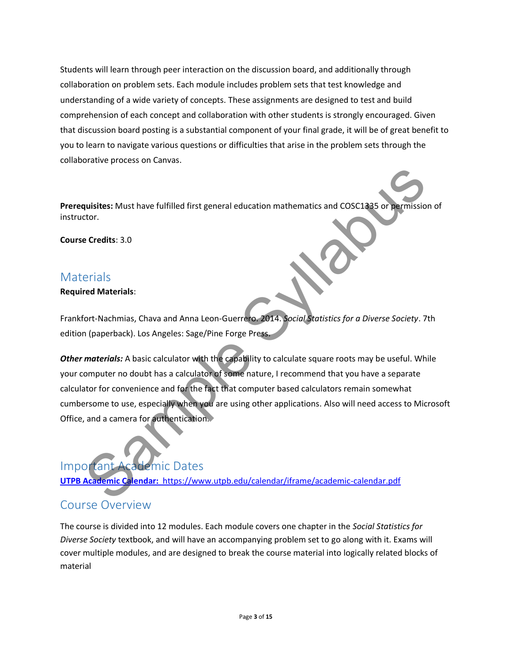Students will learn through peer interaction on the discussion board, and additionally through collaboration on problem sets. Each module includes problem sets that test knowledge and understanding of a wide variety of concepts. These assignments are designed to test and build comprehension of each concept and collaboration with other students is strongly encouraged. Given that discussion board posting is a substantial component of your final grade, it will be of great benefit to you to learn to navigate various questions or difficulties that arise in the problem sets through the collaborative process on Canvas.

**Prerequisites:** Must have fulfilled first general education mathematics and COSC1335 or permission of instructor.

**Course Credits**: 3.0

#### **Materials**

**Required Materials**:

Frankfort-Nachmias, Chava and Anna Leon-Guerrero. 2014. *Social Statistics for a Diverse Society*. 7th edition (paperback). Los Angeles: Sage/Pine Forge Press.

**Other materials:** A basic calculator with the capability to calculate square roots may be useful. While your computer no doubt has a calculator of some nature, I recommend that you have a separate calculator for convenience and for the fact that computer based calculators remain somewhat cumbersome to use, especially when you are using other applications. Also will need access to Microsoft Office, and a camera for authentication. quisites: Must have fulfilled first general education mathematics and CO[S](../../../../AppData/Local/Microsoft/Windows/INetCache/Content.Outlook/M882ZEPY/UTPB%20Academic%20Calendar:)C1335 or permission<br>tector.<br>Credits: 3.0<br>erials<br>ort-Nachmias, Chava and Anna Leon-Guerreto. 2014. Social Statistics for a Diverse Society. 7<br>material

### Important Academic Dates

**UTPB Academic Calendar:** https://www.utpb.edu/calendar/iframe/academic-calendar.pdf

### Course Overview

The course is divided into 12 modules. Each module covers one chapter in the *Social Statistics for Diverse Society* textbook, and will have an accompanying problem set to go along with it. Exams will cover multiple modules, and are designed to break the course material into logically related blocks of material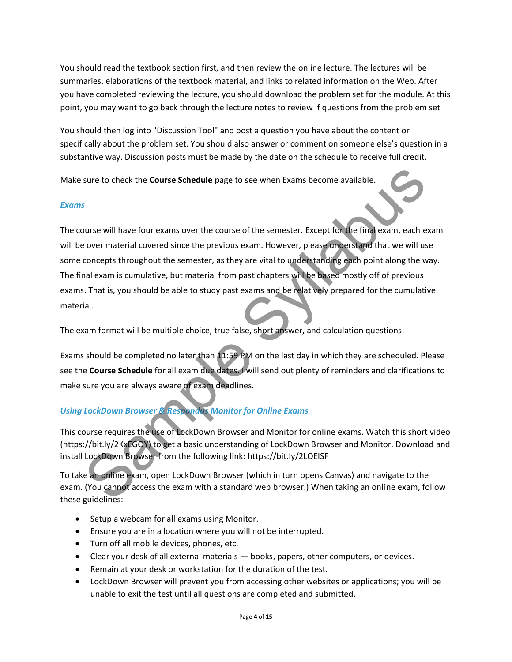You should read the textbook section first, and then review the online lecture. The lectures will be summaries, elaborations of the textbook material, and links to related information on the Web. After you have completed reviewing the lecture, you should download the problem set for the module. At this point, you may want to go back through the lecture notes to review if questions from the problem set

You should then log into "Discussion Tool" and post a question you have about the content or specifically about the problem set. You should also answer or comment on someone else's question in a substantive way. Discussion posts must be made by the date on the schedule to receive full credit.

Make sure to check the **Course Schedule** page to see when Exams become available.

#### *Exams*

The course will have four exams over the course of the semester. Except for the final exam, each exam will be over material covered since the previous exam. However, please understand that we will use some concepts throughout the semester, as they are vital to understanding each point along the way. The final exam is cumulative, but material from past chapters will be based mostly off of previous exams. That is, you should be able to study past exams and be relatively prepared for the cumulative material. sure to check the **Course Schedule** page to see when Exams become available.<br>
S<br>
S<br>
S<br>
Nourse will have four exams over the course of the semester. Except for the final exam, each e<br>
over material covered since the previou

The exam format will be multiple choice, true false, short answer, and calculation questions.

Exams should be completed no later than 11:59 PM on the last day in which they are scheduled. Please see the **Course Schedule** for all exam due dates. I will send out plenty of reminders and clarifications to make sure you are always aware of exam deadlines.

#### *Using LockDown Browser & Respondus Monitor for Online Exams*

This course requires the use of LockDown Browser and Monitor for online exams. Watch this short video (https://bit.ly/2KxEGOY) to get a basic understanding of LockDown Browser and Monitor. Download and install LockDown Browser from the following link: https://bit.ly/2LOEISF

To take an online exam, open LockDown Browser (which in turn opens Canvas) and navigate to the exam. (You cannot access the exam with a standard web browser.) When taking an online exam, follow these guidelines:

- Setup a webcam for all exams using Monitor.
- Ensure you are in a location where you will not be interrupted.
- Turn off all mobile devices, phones, etc.
- Clear your desk of all external materials books, papers, other computers, or devices.
- Remain at your desk or workstation for the duration of the test.
- LockDown Browser will prevent you from accessing other websites or applications; you will be unable to exit the test until all questions are completed and submitted.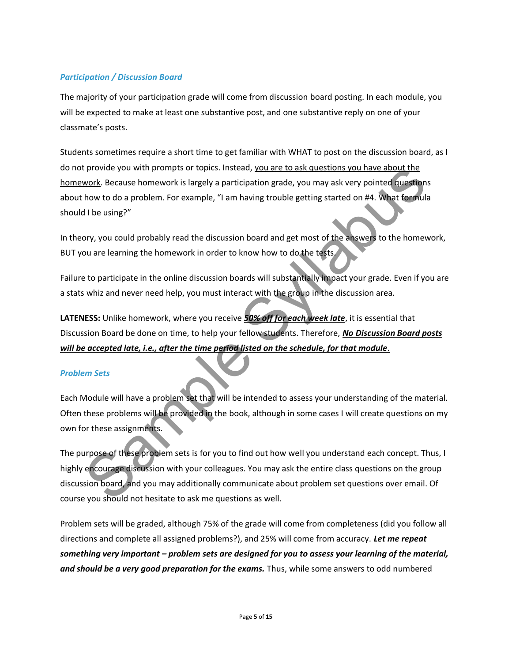#### *Participation / Discussion Board*

The majority of your participation grade will come from discussion board posting. In each module, you will be expected to make at least one substantive post, and one substantive reply on one of your classmate's posts.

Students sometimes require a short time to get familiar with WHAT to post on the discussion board, as I do not provide you with prompts or topics. Instead, you are to ask questions you have about the homework. Because homework is largely a participation grade, you may ask very pointed questions about how to do a problem. For example, "I am having trouble getting started on #4. What formula should I be using?"

In theory, you could probably read the discussion board and get most of the answers to the homework, BUT you are learning the homework in order to know how to do the tests.

Failure to participate in the online discussion boards will substantially impact your grade. Even if you are a stats whiz and never need help, you must interact with the group in the discussion area.

**LATENESS:** Unlike homework, where you receive *50% off for each week late*, it is essential that Discussion Board be done on time, to help your fellow students. Therefore, *No Discussion Board posts will be accepted late, i.e., after the time period listed on the schedule, for that module*.

#### *Problem Sets*

Each Module will have a problem set that will be intended to assess your understanding of the material. Often these problems will be provided in the book, although in some cases I will create questions on my own for these assignments.

The purpose of these problem sets is for you to find out how well you understand each concept. Thus, I highly encourage discussion with your colleagues. You may ask the entire class questions on the group discussion board, and you may additionally communicate about problem set questions over email. Of course you should not hesitate to ask me questions as well. provide you with prompts or topics. Instead, <u>you are to ask questions you have about the</u><br>Now to do a problem. For example, "I am having trouble getting started on #4. What formula<br>Now to do a problem. For example, "I am

Problem sets will be graded, although 75% of the grade will come from completeness (did you follow all directions and complete all assigned problems?), and 25% will come from accuracy. *Let me repeat something very important – problem sets are designed for you to assess your learning of the material, and should be a very good preparation for the exams.* Thus, while some answers to odd numbered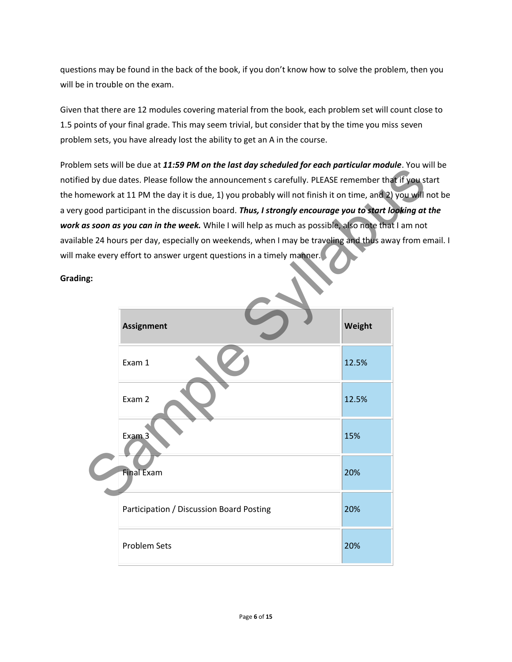questions may be found in the back of the book, if you don't know how to solve the problem, then you will be in trouble on the exam.

Given that there are 12 modules covering material from the book, each problem set will count close to 1.5 points of your final grade. This may seem trivial, but consider that by the time you miss seven problem sets, you have already lost the ability to get an A in the course.

Problem sets will be due at *11:59 PM on the last day scheduled for each particular module*. You will be notified by due dates. Please follow the announcement s carefully. PLEASE remember that if you start the homework at 11 PM the day it is due, 1) you probably will not finish it on time, and 2) you will not be a very good participant in the discussion board. *Thus, I strongly encourage you to start looking at the work as soon as you can in the week.* While I will help as much as possible, also note that I am not available 24 hours per day, especially on weekends, when I may be traveling and thus away from email. I will make every effort to answer urgent questions in a timely manner.

**Grading:**

|     | $\sim$ . The sets will be due at 11.99 FM on the last day scheduled for each particular module. Fourw |        |  |
|-----|-------------------------------------------------------------------------------------------------------|--------|--|
|     | d by due dates. Please follow the announcement s carefully. PLEASE remember that if you st            |        |  |
|     | mework at 11 PM the day it is due, 1) you probably will not finish it on time, and 2) you will i      |        |  |
|     | good participant in the discussion board. Thus, I strongly encourage you to start looking at          |        |  |
|     | as soon as you can in the week. While I will help as much as possible, also note that I am not        |        |  |
|     | ble 24 hours per day, especially on weekends, when I may be traveling and thus away from e            |        |  |
| ነg: | ake every effort to answer urgent questions in a timely manner.                                       |        |  |
|     | <b>Assignment</b>                                                                                     | Weight |  |
|     | Exam 1                                                                                                | 12.5%  |  |
|     | Exam 2                                                                                                | 12.5%  |  |
|     | Exam 3                                                                                                | 15%    |  |
|     | <b>Final Exam</b>                                                                                     | 20%    |  |
|     | Participation / Discussion Board Posting                                                              | 20%    |  |
|     | <b>Problem Sets</b>                                                                                   | 20%    |  |
|     |                                                                                                       |        |  |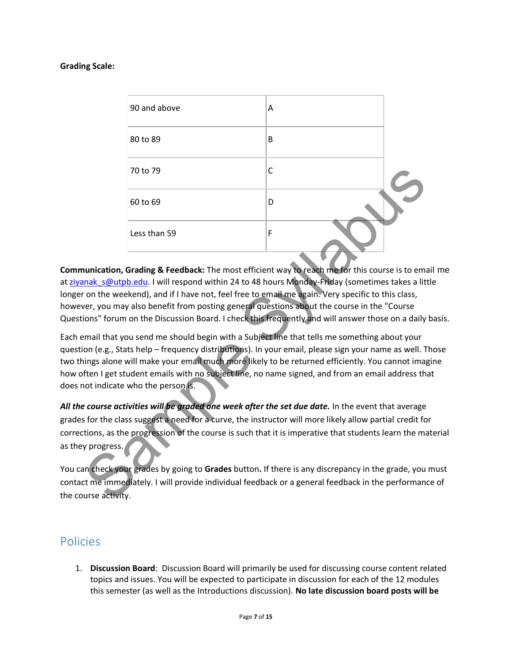#### **Grading Scale:**

|                | 90 and above                                                                                                                                                                                                                                                                                                                                                                                                                                                                                                                                                                                                                                                                                                                    | A |  |
|----------------|---------------------------------------------------------------------------------------------------------------------------------------------------------------------------------------------------------------------------------------------------------------------------------------------------------------------------------------------------------------------------------------------------------------------------------------------------------------------------------------------------------------------------------------------------------------------------------------------------------------------------------------------------------------------------------------------------------------------------------|---|--|
|                | 80 to 89                                                                                                                                                                                                                                                                                                                                                                                                                                                                                                                                                                                                                                                                                                                        | B |  |
|                | 70 to 79                                                                                                                                                                                                                                                                                                                                                                                                                                                                                                                                                                                                                                                                                                                        | C |  |
|                | 60 to 69                                                                                                                                                                                                                                                                                                                                                                                                                                                                                                                                                                                                                                                                                                                        | D |  |
|                | Less than 59                                                                                                                                                                                                                                                                                                                                                                                                                                                                                                                                                                                                                                                                                                                    | F |  |
|                | on the weekend), and if I have not, feel free to email me again. Very specific to this class,<br>ver, you may also benefit from posting general questions about the course in the "Course<br>ions" forum on the Discussion Board. I check this frequently and will answer those on a daily<br>mail that you send me should begin with a Subject line that tells me something about your<br>on (e.g., Stats help - frequency distributions). In your email, please sign your name as well. T<br>iings alone will make your email much more likely to be returned efficiently. You cannot imag<br>ften I get student emails with no subject line, no name signed, and from an email address th<br>not indicate who the person is. |   |  |
| y progress.    | e course activities will be graded one week after the set due date. In the event that average<br>s for the class suggest a need for a curve, the instructor will more likely allow partial credit fo<br>tions, as the progression of the course is such that it is imperative that students learn the ma                                                                                                                                                                                                                                                                                                                                                                                                                        |   |  |
| urse activity. | an check your grades by going to Grades button. If there is any discrepancy in the grade, you<br>ct me immediately. I will provide individual feedback or a general feedback in the performan                                                                                                                                                                                                                                                                                                                                                                                                                                                                                                                                   |   |  |

**Communication, Grading & Feedback:** The most efficient way to reach me for this course is to email me at ziyanak s@utpb.edu. I will respond within 24 to 48 hours Monday-Friday (sometimes takes a little longer on the weekend), and if I have not, feel free to email me again. Very specific to this class, however, you may also benefit from posting general questions about the course in the "Course Questions" forum on the Discussion Board. I check this frequently and will answer those on a daily basis.

Each email that you send me should begin with a Subject line that tells me something about your question (e.g., Stats help – frequency distributions). In your email, please sign your name as well. Those two things alone will make your email much more likely to be returned efficiently. You cannot imagine how often I get student emails with no subject line, no name signed, and from an email address that does not indicate who the person is.

*All the course activities will be graded one week after the set due date.* In the event that average grades for the class suggest a need for a curve, the instructor will more likely allow partial credit for corrections, as the progression of the course is such that it is imperative that students learn the material as they progress.

You can check your grades by going to **Grades** button**.** If there is any discrepancy in the grade, you must contact me immediately. I will provide individual feedback or a general feedback in the performance of the course activity.

### Policies

1. **Discussion Board**: Discussion Board will primarily be used for discussing course content related topics and issues. You will be expected to participate in discussion for each of the 12 modules this semester (as well as the Introductions discussion). **No late discussion board posts will be**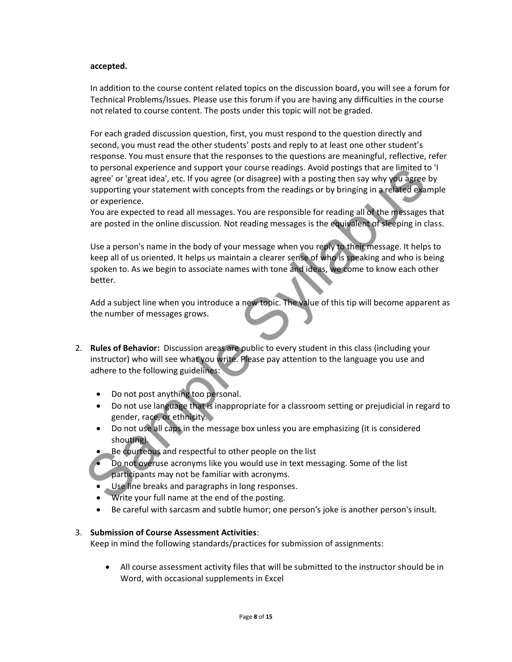#### **accepted.**

In addition to the course content related topics on the discussion board, you will see a forum for Technical Problems/Issues. Please use this forum if you are having any difficulties in the course not related to course content. The posts under this topic will not be graded.

For each graded discussion question, first, you must respond to the question directly and second, you must read the other students' posts and reply to at least one other student's response. You must ensure that the responses to the questions are meaningful, reflective, refer to personal experience and support your course readings. Avoid postings that are limited to 'I agree' or 'great idea', etc. If you agree (or disagree) with a posting then say why you agree by supporting your statement with concepts from the readings or by bringing in a related example or experience.

You are expected to read all messages. You are responsible for reading all of the messages that are posted in the online discussion. Not reading messages is the equivalent of sleeping in class.

Use a person's name in the body of your message when you reply to their message. It helps to keep all of us oriented. It helps us maintain a clearer sense of who is speaking and who is being spoken to. As we begin to associate names with tone and ideas, we come to know each other better. to personal experience and support your course readings. Avoid postings that are limited<br>agree' or "greatideal, etc. If you agree (or disagree) with a posting then say why you agree<br>supporting your statement with concepts

Add a subject line when you introduce a new topic. The value of this tip will become apparent as the number of messages grows.

- 2. **Rules of Behavior:** Discussion areas are public to every student in this class (including your instructor) who will see what you write. Please pay attention to the language you use and adhere to the following guidelines:
	- Do not post anything too personal.
	- Do not use language that is inappropriate for a classroom setting or prejudicial in regard to gender, race, or ethnicity.
	- Do not use all caps in the message box unless you are emphasizing (it is considered shouting).
	- Be courteous and respectful to other people on the list
	- Do not overuse acronyms like you would use in text messaging. Some of the list participants may not be familiar with acronyms.
	- Use line breaks and paragraphs in long responses.
	- Write your full name at the end of the posting.
	- Be careful with sarcasm and subtle humor; one person's joke is another person's insult.

#### 3. **Submission of Course Assessment Activities**:

Keep in mind the following standards/practices for submission of assignments:

• All course assessment activity files that will be submitted to the instructor should be in Word, with occasional supplements in Excel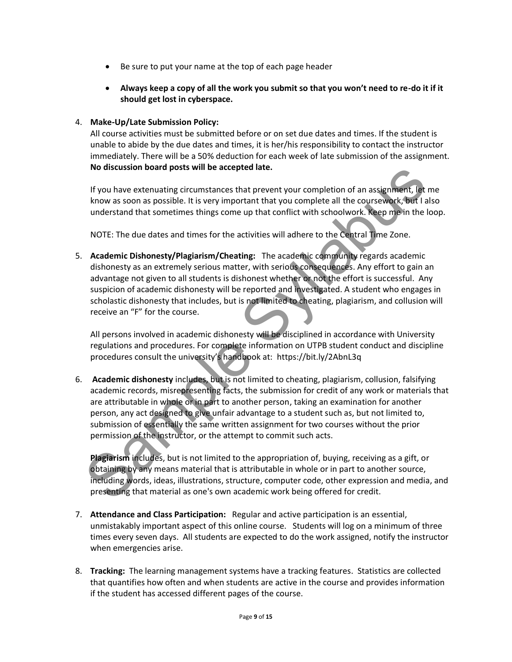- Be sure to put your name at the top of each page header
- **Always keep a copy of all the work you submit so that you won't need to re-do it if it should get lost in cyberspace.**

#### 4. **Make-Up/Late Submission Policy:**

All course activities must be submitted before or on set due dates and times. If the student is unable to abide by the due dates and times, it is her/his responsibility to contact the instructor immediately. There will be a 50% deduction for each week of late submission of the assignment. **No discussion board posts will be accepted late.**

If you have extenuating circumstances that prevent your completion of an assignment, let me know as soon as possible. It is very important that you complete all the coursework, but I also understand that sometimes things come up that conflict with schoolwork. Keep me in the loop.

NOTE: The due dates and times for the activities will adhere to the Central Time Zone.

5. **Academic Dishonesty/Plagiarism/Cheating:** The academic community regards academic dishonesty as an extremely serious matter, with serious consequences. Any effort to gain an advantage not given to all students is dishonest whether or not the effort is successful. Any suspicion of academic dishonesty will be reported and investigated. A student who engages in scholastic dishonesty that includes, but is not limited to cheating, plagiarism, and collusion will receive an "F" for the course.

All persons involved in academic dishonesty will be disciplined in accordance with University regulations and procedures. For complete information on UTPB student conduct and discipline procedures consult the university's handbook at: https://bit.ly/2AbnL3q

6. **Academic dishonesty** includes, but is not limited to cheating, plagiarism, collusion, falsifying academic records, misrepresenting facts, the submission for credit of any work or materials that are attributable in whole or in part to another person, taking an examination for another person, any act designed to give unfair advantage to a student such as, but not limited to, submission of essentially the same written assignment for two courses without the prior permission of the instructor, or the attempt to commit such acts. No discussion board posts will be accepted late.<br>
If you have extenuating circumstances that prevent your completion of an assignment, let<br>
know as soon as possible. It is very important that you complete all the coursewo

**Plagiarism** includes, but is not limited to the appropriation of, buying, receiving as a gift, or obtaining by any means material that is attributable in whole or in part to another source, including words, ideas, illustrations, structure, computer code, other expression and media, and presenting that material as one's own academic work being offered for credit.

- 7. **Attendance and Class Participation:** Regular and active participation is an essential, unmistakably important aspect of this online course. Students will log on a minimum of three times every seven days. All students are expected to do the work assigned, notify the instructor when emergencies arise.
- 8. **Tracking:** The learning management systems have a tracking features. Statistics are collected that quantifies how often and when students are active in the course and provides information if the student has accessed different pages of the course.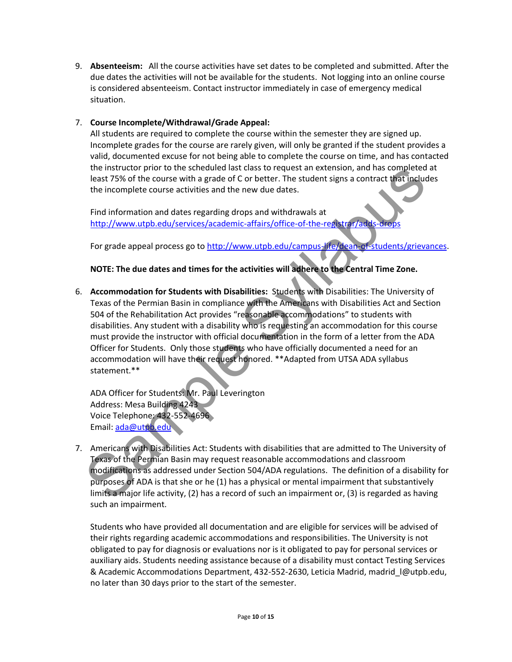9. **Absenteeism:** All the course activities have set dates to be completed and submitted. After the due dates the activities will not be available for the students. Not logging into an online course is considered absenteeism. Contact instructor immediately in case of emergency medical situation.

#### 7. **Course Incomplete/Withdrawal/Grade Appeal:**

All students are required to complete the course within the semester they are signed up. Incomplete grades for the course are rarely given, will only be granted if the student provides a valid, documented excuse for not being able to complete the course on time, and has contacted the instructor prior to the scheduled last class to request an extension, and has completed at least 75% of the course with a grade of C or better. The student signs a contract that includes the incomplete course activities and the new due dates.

Find information and dates regarding drops and withdrawals at http://www.utpb.edu/services/academic-affairs/office-of-the-registrar/adds-drops

For grade appeal process go to http://www.utpb.edu/campus-life/dean-of-students/grievances.

#### **NOTE: The due dates and times for the activities will adhere to the Central Time Zone.**

6. **Accommodation for Students with Disabilities:** Students with Disabilities: The University of Texas of the Permian Basin in compliance with the Americans with Disabilities Act and Section 504 of the Rehabilitation Act provides "reasonable accommodations" to students with disabilities. Any student with a disability who is requesting an accommodation for this course must provide the instructor with official documentation in the form of a letter from the ADA Officer for Students. Only those students who have officially documented a need for an accommodation will have their request honored. \*\*Adapted from UTSA ADA syllabus statement.\*\* the instr[u](http://www.utpb.edu/services/academic-affairs/office-of-the-registrar/adds-drops)ctor prior to the scheduled last cass to request an extension, and nas completed<br>least 75% of the course with a grade of C or better. The stident signs a contract that include<br>the incomplete course activities and

ADA Officer for Students: Mr. Paul Leverington Address: Mesa Building 4243 Voice Telephone: 432-552-4696 Email: ada@utpb.edu

7. Americans with Disabilities Act: Students with disabilities that are admitted to The University of Texas of the Permian Basin may request reasonable accommodations and classroom modifications as addressed under Section 504/ADA regulations. The definition of a disability for purposes of ADA is that she or he (1) has a physical or mental impairment that substantively limits a major life activity, (2) has a record of such an impairment or, (3) is regarded as having such an impairment.

Students who have provided all documentation and are eligible for services will be advised of their rights regarding academic accommodations and responsibilities. The University is not obligated to pay for diagnosis or evaluations nor is it obligated to pay for personal services or auxiliary aids. Students needing assistance because of a disability must contact Testing Services & Academic Accommodations Department, 432-552-2630, Leticia Madrid, [madrid\\_l@utpb.edu,](mailto:madrid_l@utpb.edu) no later than 30 days prior to the start of the semester.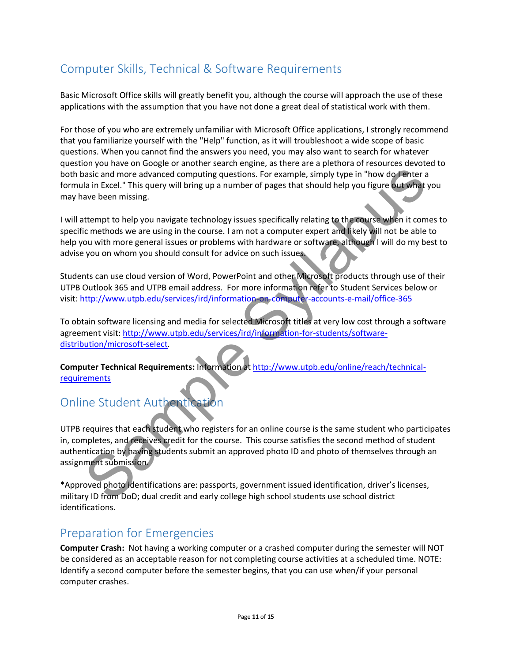### Computer Skills, Technical & Software Requirements

Basic Microsoft Office skills will greatly benefit you, although the course will approach the use of these applications with the assumption that you have not done a great deal of statistical work with them.

For those of you who are extremely unfamiliar with Microsoft Office applications, I strongly recommend that you familiarize yourself with the "Help" function, as it will troubleshoot a wide scope of basic questions. When you cannot find the answers you need, you may also want to search for whatever question you have on Google or another search engine, as there are a plethora of resources devoted to both basic and more advanced computing questions. For example, simply type in "how do I enter a formula in Excel." This query will bring up a number of pages that should help you figure out what you may have been missing.

I will attempt to help you navigate technology issues specifically relating to the course when it comes to specific methods we are using in the course. I am not a computer expert and likely will not be able to help you with more general issues or problems with hardware or software, although I will do my best to advise you on whom you should consult for advice on such issues. asic and mor[e](http://www.utpb.edu/online/reach/technical-requirements) advanced computing questions. For example, simply type in "how do lenter a<br>lain Excel." This query will bring up a number of pages that should help you figure out what<br>ain Excel." This query will bring up a n

Students can use cloud version of Word, PowerPoint and other Microsoft products through use of their UTPB Outlook 365 and UTPB email address. For more information refer to Student Services below or visit: http://www.utpb.edu/services/ird/information-on-computer-accounts-e-mail/office-365

To obtain software licensing and media for selected Microsoft titles at very low cost through a software agreement visit: http://www.utpb.edu/services/ird/information-for-students/softwaredistribution/microsoft-select.

**Computer Technical Requirements:** Information at http://www.utpb.edu/online/reach/technicalrequirements

### Online Student Authentication

UTPB requires that each student who registers for an online course is the same student who participates in, completes, and receives credit for the course. This course satisfies the second method of student authentication by having students submit an approved photo ID and photo of themselves through an assignment submission.

\*Approved photo identifications are: passports, government issued identification, driver's licenses, military ID from DoD; dual credit and early college high school students use school district identifications.

### Preparation for Emergencies

**Computer Crash:** Not having a working computer or a crashed computer during the semester will NOT be considered as an acceptable reason for not completing course activities at a scheduled time. NOTE: Identify a second computer before the semester begins, that you can use when/if your personal computer crashes.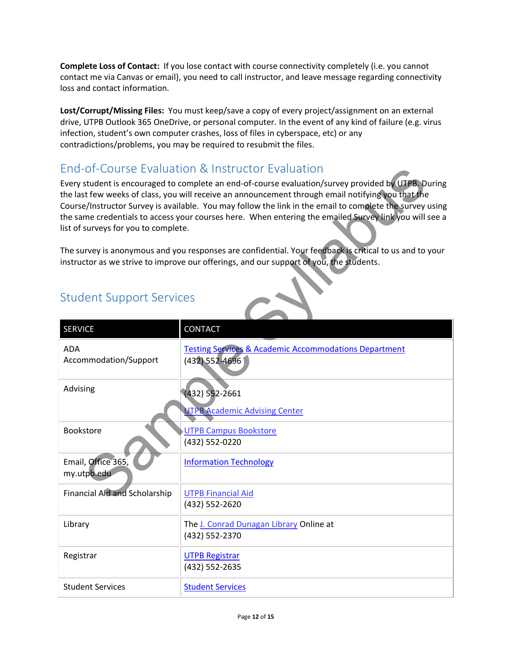**Complete Loss of Contact:** If you lose contact with course connectivity completely (i.e. you cannot contact me via Canvas or email), you need to call instructor, and leave message regarding connectivity loss and contact information.

**Lost/Corrupt/Missing Files:** You must keep/save a copy of every project/assignment on an external drive, UTPB Outlook 365 OneDrive, or personal computer. In the event of any kind of failure (e.g. virus infection, student's own computer crashes, loss of files in cyberspace, etc) or any contradictions/problems, you may be required to resubmit the files.

### End-of-Course Evaluation & Instructor Evaluation

### Student Support Services

| End-of-Course Evaluation & Instructor Evaluation |                                                                                                                                                                                                                                                                                                                                                                                                                                 |  |  |
|--------------------------------------------------|---------------------------------------------------------------------------------------------------------------------------------------------------------------------------------------------------------------------------------------------------------------------------------------------------------------------------------------------------------------------------------------------------------------------------------|--|--|
| list of surveys for you to complete.             | Every student is encouraged to complete an end-of-course evaluation/survey provided by UTPB. During<br>the last few weeks of class, you will receive an announcement through email notifying you that the<br>Course/Instructor Survey is available. You may follow the link in the email to complete the survey using<br>the same credentials to access your courses here. When entering the emailed Survey link you will see a |  |  |
|                                                  | The survey is anonymous and you responses are confidential. Your feedback is critical to us and to your<br>instructor as we strive to improve our offerings, and our support of you, the students.                                                                                                                                                                                                                              |  |  |
| <b>Student Support Services</b>                  |                                                                                                                                                                                                                                                                                                                                                                                                                                 |  |  |
| <b>SERVICE</b>                                   | <b>CONTACT</b>                                                                                                                                                                                                                                                                                                                                                                                                                  |  |  |
| <b>ADA</b><br>Accommodation/Support              | <b>Testing Services &amp; Academic Accommodations Department</b><br>(432) 552-4696                                                                                                                                                                                                                                                                                                                                              |  |  |
| Advising                                         | $(432) 552 - 2661$                                                                                                                                                                                                                                                                                                                                                                                                              |  |  |
|                                                  | <b>UTPB Academic Advising Center</b>                                                                                                                                                                                                                                                                                                                                                                                            |  |  |
| <b>Bookstore</b>                                 | <b>UTPB Campus Bookstore</b><br>(432) 552-0220                                                                                                                                                                                                                                                                                                                                                                                  |  |  |
| Email, Office 365,<br>my.utpb.edu                | <b>Information Technology</b>                                                                                                                                                                                                                                                                                                                                                                                                   |  |  |
| <b>Financial Aid and Scholarship</b>             | <b>UTPB Financial Aid</b><br>(432) 552-2620                                                                                                                                                                                                                                                                                                                                                                                     |  |  |
| Library                                          | The J. Conrad Dunagan Library Online at<br>(432) 552-2370                                                                                                                                                                                                                                                                                                                                                                       |  |  |
| Registrar                                        | <b>UTPB Registrar</b><br>(432) 552-2635                                                                                                                                                                                                                                                                                                                                                                                         |  |  |
| <b>Student Services</b>                          | <b>Student Services</b>                                                                                                                                                                                                                                                                                                                                                                                                         |  |  |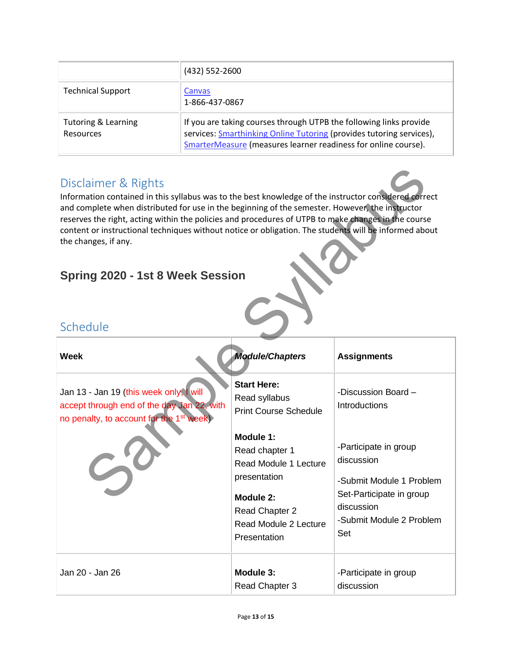|                                             | (432) 552-2600                                                                                                                                                                                               |
|---------------------------------------------|--------------------------------------------------------------------------------------------------------------------------------------------------------------------------------------------------------------|
| <b>Technical Support</b>                    | Canvas<br>1-866-437-0867                                                                                                                                                                                     |
| <b>Tutoring &amp; Learning</b><br>Resources | If you are taking courses through UTPB the following links provide<br>services: Smarthinking Online Tutoring (provides tutoring services),<br>SmarterMeasure (measures learner readiness for online course). |

### Disclaimer & Rights

### **Spring 2020 - 1st 8 Week Session**

### Schedule

| Disclaimer & Rights<br>Information contained in this syllabus was to the best knowledge of the instructor considered correct<br>and complete when distributed for use in the beginning of the semester. However, the instructor<br>reserves the right, acting within the policies and procedures of UTPB to make changes in the course<br>content or instructional techniques without notice or obligation. The students will be informed about<br>the changes, if any.<br>Spring 2020 - 1st 8 Week Session<br>Schedule |                                                                                                                                                                                                                     |                                                                                                                                                                                      |  |
|-------------------------------------------------------------------------------------------------------------------------------------------------------------------------------------------------------------------------------------------------------------------------------------------------------------------------------------------------------------------------------------------------------------------------------------------------------------------------------------------------------------------------|---------------------------------------------------------------------------------------------------------------------------------------------------------------------------------------------------------------------|--------------------------------------------------------------------------------------------------------------------------------------------------------------------------------------|--|
| Week                                                                                                                                                                                                                                                                                                                                                                                                                                                                                                                    | <b>Module/Chapters</b>                                                                                                                                                                                              | <b>Assignments</b>                                                                                                                                                                   |  |
| Jan 13 - Jan 19 (this week only, I will<br>accept through end of the day Jan 22, with<br>no penalty, to account for the 1 <sup>st</sup> week)                                                                                                                                                                                                                                                                                                                                                                           | <b>Start Here:</b><br>Read syllabus<br><b>Print Course Schedule</b><br>Module 1:<br>Read chapter 1<br>Read Module 1 Lecture<br>presentation<br>Module 2:<br>Read Chapter 2<br>Read Module 2 Lecture<br>Presentation | -Discussion Board -<br>Introductions<br>-Participate in group<br>discussion<br>-Submit Module 1 Problem<br>Set-Participate in group<br>discussion<br>-Submit Module 2 Problem<br>Set |  |
| Jan 20 - Jan 26                                                                                                                                                                                                                                                                                                                                                                                                                                                                                                         | Module 3:<br>Read Chapter 3                                                                                                                                                                                         | -Participate in group<br>discussion                                                                                                                                                  |  |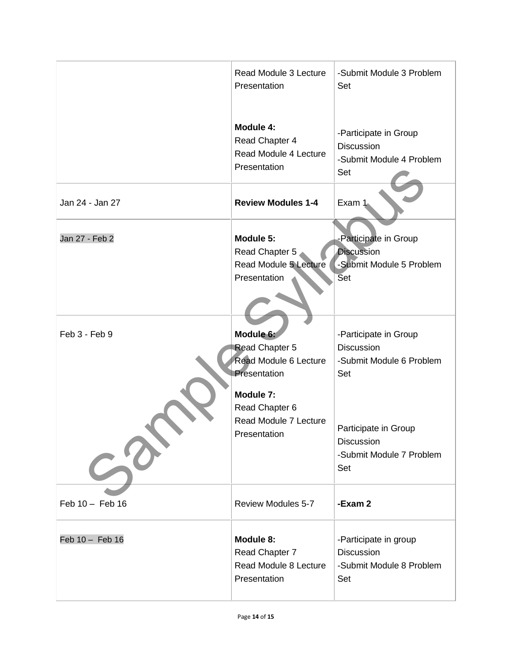|                 | Read Module 3 Lecture<br>Presentation                                                                                                        | -Submit Module 3 Problem<br>Set                                                                                                                 |
|-----------------|----------------------------------------------------------------------------------------------------------------------------------------------|-------------------------------------------------------------------------------------------------------------------------------------------------|
|                 | Module 4:<br>Read Chapter 4<br>Read Module 4 Lecture<br>Presentation                                                                         | -Participate in Group<br>Discussion<br>-Submit Module 4 Problem<br>Set                                                                          |
| Jan 24 - Jan 27 | <b>Review Modules 1-4</b>                                                                                                                    | Exam 1                                                                                                                                          |
| Jan 27 - Feb 2  | Module 5:<br>Read Chapter 5<br><b>Read Module 5 Lecture</b><br>Presentation                                                                  | -Participate in Group<br><b>Discussion</b><br>-Submit Module 5 Problem<br><b>Set</b>                                                            |
| Feb 3 - Feb 9   | Module 6:<br>Read Chapter 5<br>Read Module 6 Lecture<br>Presentation<br>Module 7:<br>Read Chapter 6<br>Read Module 7 Lecture<br>Presentation | -Participate in Group<br>Discussion<br>-Submit Module 6 Problem<br>Set<br>Participate in Group<br>Discussion<br>-Submit Module 7 Problem<br>Set |
| Feb 10 - Feb 16 | <b>Review Modules 5-7</b>                                                                                                                    | -Exam 2                                                                                                                                         |
| Feb 10 - Feb 16 | Module 8:<br>Read Chapter 7<br>Read Module 8 Lecture<br>Presentation                                                                         | -Participate in group<br><b>Discussion</b><br>-Submit Module 8 Problem<br>Set                                                                   |